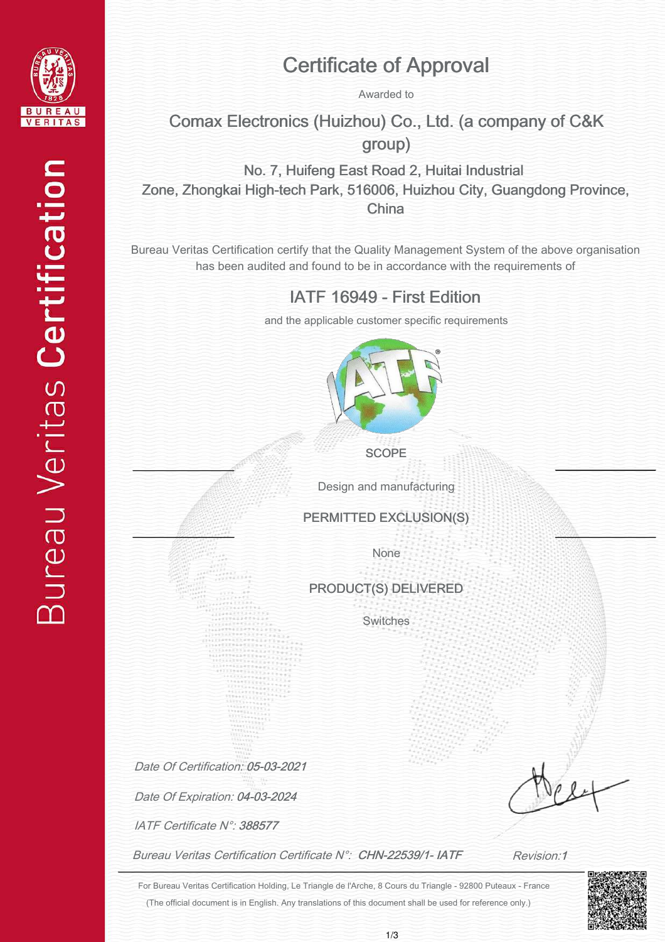

## Certificate of Approval

Awarded to

Comax Electronics (Huizhou) Co., Ltd. (a company of C&K group)

No. 7, Huifeng East Road 2, Huitai Industrial Zone, Zhongkai High-tech Park, 516006, Huizhou City, Guangdong Province, China

Bureau Veritas Certification certify that the Quality Management System of the above organisation has been audited and found to be in accordance with the requirements of

IATF 16949 - First Edition

and the applicable customer specific requirements



**SCOPE** 

Design and manufacturing

PERMITTED EXCLUSION(S)

None

PRODUCT(S) DELIVERED

Switches

Date Of Certification: 05-03-2021

Date Of Expiration: 04-03-2024

IATF Certificate N°: 388577

Bureau Veritas Certification Certificate N°: CHN-22539/1- IATF

Revision:1

(The official document is in English. Any translations of this document shall be used for reference only.) For Bureau Veritas Certification Holding, Le Triangle de l'Arche, 8 Cours du Triangle - 92800 Puteaux - France

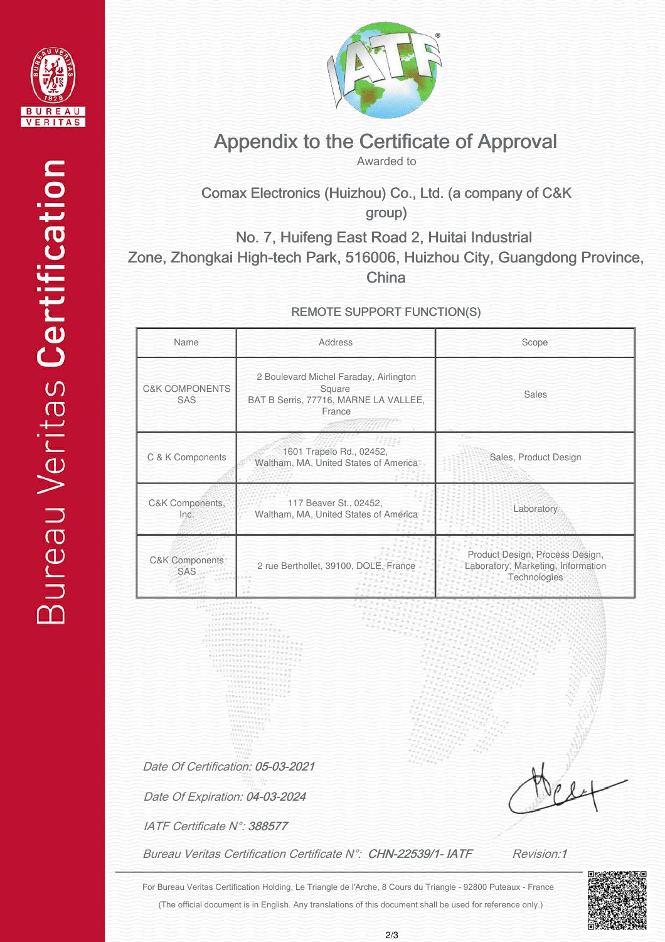



## Appendix to the Certificate of Approval

Awarded to

Comax Electronics (Huizhou) Co., Ltd. (a company of C&K group)

No. 7, Huifeng East Road 2, Huitai Industrial Zone, Zhongkai High-tech Park, 516006, Huizhou City, Guangdong Province, **China** 

REMOTE SUPPORT FUNCTION(S)

| <b>C&amp;K COMPONENTS</b>                                           |                                                                                                     |                                                                                       |
|---------------------------------------------------------------------|-----------------------------------------------------------------------------------------------------|---------------------------------------------------------------------------------------|
| SAS                                                                 | 2 Boulevard Michel Faraday, Airlington<br>Square<br>BAT B Serris, 77716, MARNE LA VALLEE,<br>France | <b>Sales</b>                                                                          |
| C & K Components                                                    | 1601 Trapelo Rd., 02452,<br>Waltham, MA, United States of America                                   | Sales, Product Design                                                                 |
| C&K Components,<br>Inc.                                             | 117 Beaver St., 02452,<br>Waltham, MA, United States of America                                     | Laboratory                                                                            |
| C&K Components<br><b>SAS</b>                                        | 2 rue Berthollet, 39100, DOLE, France                                                               | Product Design, Process Design,<br>Laboratory, Marketing, Information<br>Technologies |
| Date Of Certification: 05-03-2021<br>Date Of Expiration: 04-03-2024 |                                                                                                     |                                                                                       |
| IATF Certificate N°: 388577                                         |                                                                                                     |                                                                                       |

(The official document is in English. Any translations of this document shall be used for reference only.) For Bureau Veritas Certification Holding, Le Triangle de l'Arche, 8 Cours du Triangle - 92800 Puteaux - France